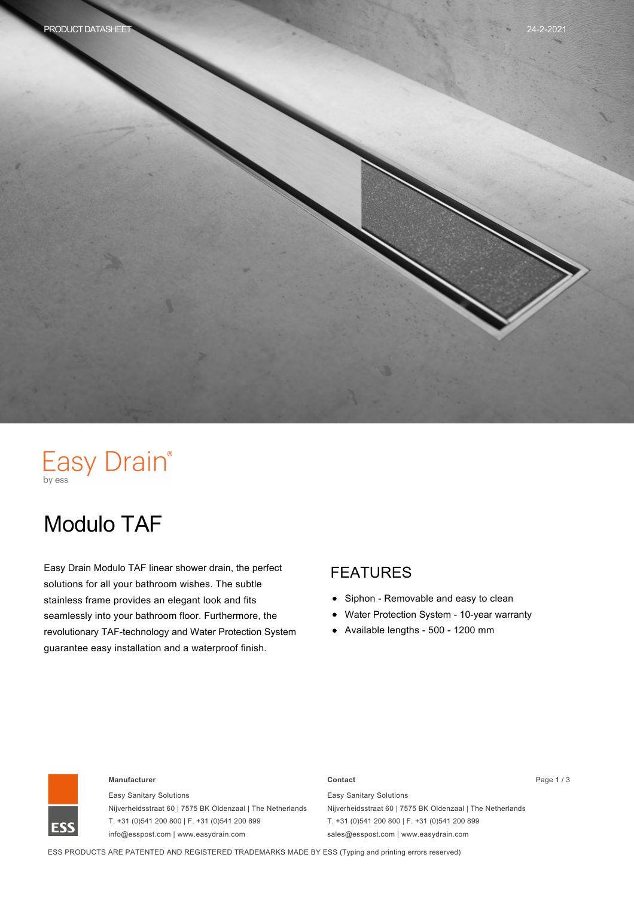# Easy Drain®

# Modulo TAF

Easy Drain Modulo TAF linear shower drain, the perfect solutions for all your bathroom wishes. The subtle stainless frame provides an elegant look and fits seamlessly into your bathroom floor. Furthermore, the revolutionary TAF-technology and Water Protection System guarantee easy installation and a waterproof finish.

#### FEATURES

- $\bullet$ Siphon - Removable and easy to clean
- Water Protection System 10-year warranty
- $\bullet$  Available lengths 500 1200 mm



#### **Manufacturer Contact** Page 1 / 3

Easy Sanitary Solutions Nijverheidsstraat 60 | 7575 BK Oldenzaal | The Netherlands T. +31 (0)541 200 800 | F. +31 (0)541 200 899 info@esspost.com | www.easydrain.com

Easy Sanitary Solutions Nijverheidsstraat 60 | 7575 BK Oldenzaal | The Netherlands T. +31 (0)541 200 800 | F. +31 (0)541 200 899 sales@esspost.com | www.easydrain.com

ESS PRODUCTS ARE PATENTED AND REGISTERED TRADEMARKS MADE BY ESS (Typing and printing errors reserved)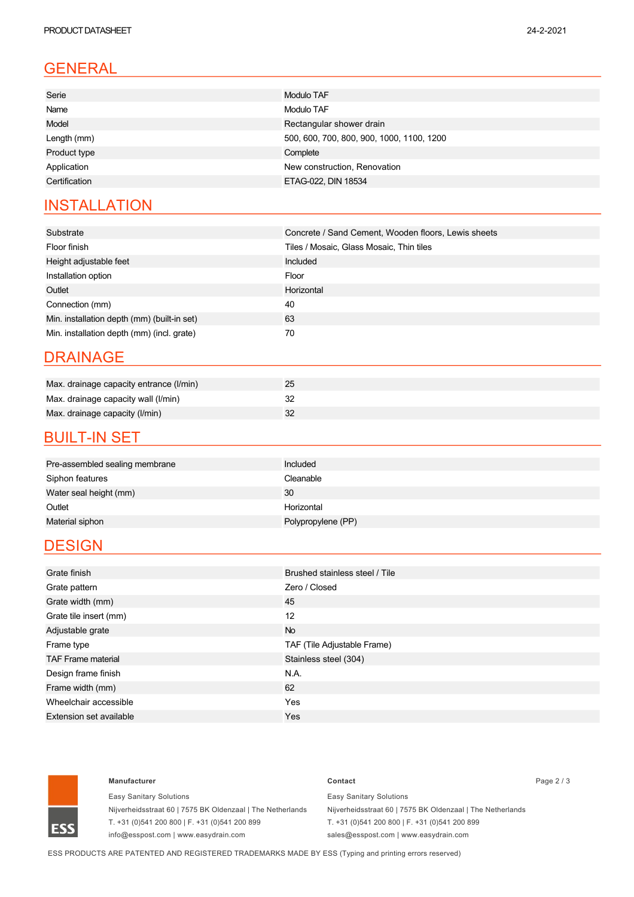# GENERAL

| Serie         | <b>Modulo TAF</b>                         |  |
|---------------|-------------------------------------------|--|
| Name          | Modulo TAF                                |  |
| Model         | Rectangular shower drain                  |  |
| Length (mm)   | 500, 600, 700, 800, 900, 1000, 1100, 1200 |  |
| Product type  | Complete                                  |  |
| Application   | New construction, Renovation              |  |
| Certification | ETAG-022, DIN 18534                       |  |
|               |                                           |  |

### **INSTALLATION**

| Substrate                                   | Concrete / Sand Cement, Wooden floors, Lewis sheets |  |
|---------------------------------------------|-----------------------------------------------------|--|
| Floor finish                                | Tiles / Mosaic, Glass Mosaic, Thin tiles            |  |
| Height adjustable feet                      | Included                                            |  |
| Installation option                         | Floor                                               |  |
| Outlet                                      | Horizontal                                          |  |
| Connection (mm)                             | 40                                                  |  |
| Min. installation depth (mm) (built-in set) | 63                                                  |  |
| Min. installation depth (mm) (incl. grate)  | 70                                                  |  |

#### DRAINAGE

| Max. drainage capacity entrance (I/min) | 25 |
|-----------------------------------------|----|
| Max. drainage capacity wall (I/min)     |    |
| Max. drainage capacity (I/min)          |    |

#### **BUILT-IN SET**

| Pre-assembled sealing membrane | <b>Included</b>    |
|--------------------------------|--------------------|
| Siphon features                | Cleanable          |
| Water seal height (mm)         | 30                 |
| Outlet                         | Horizontal         |
| Material siphon                | Polypropylene (PP) |
|                                |                    |

### **DESIGN**

| Grate finish              | Brushed stainless steel / Tile |  |
|---------------------------|--------------------------------|--|
| Grate pattern             | Zero / Closed                  |  |
| Grate width (mm)          | 45                             |  |
| Grate tile insert (mm)    | 12                             |  |
| Adjustable grate          | No                             |  |
| Frame type                | TAF (Tile Adjustable Frame)    |  |
| <b>TAF Frame material</b> | Stainless steel (304)          |  |
| Design frame finish       | N.A.                           |  |
| Frame width (mm)          | 62                             |  |
| Wheelchair accessible     | Yes                            |  |
| Extension set available   | Yes                            |  |



#### **Manufacturer Contact** Page 2 / 3

Easy Sanitary Solutions Nijverheidsstraat 60 | 7575 BK Oldenzaal | The Netherlands T. +31 (0)541 200 800 | F. +31 (0)541 200 899 info@esspost.com | www.easydrain.com

Easy Sanitary Solutions Nijverheidsstraat 60 | 7575 BK Oldenzaal | The Netherlands T. +31 (0)541 200 800 | F. +31 (0)541 200 899 sales@esspost.com | www.easydrain.com

ESS PRODUCTS ARE PATENTED AND REGISTERED TRADEMARKS MADE BY ESS (Typing and printing errors reserved)